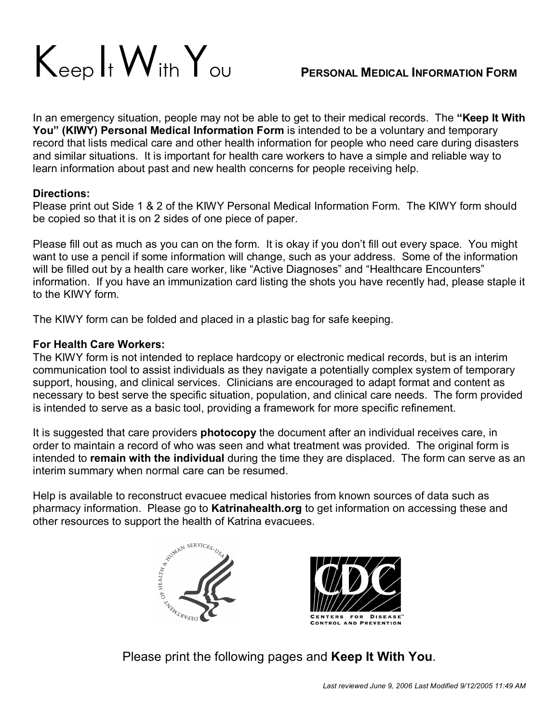

In an emergency situation, people may not be able to get to their medical records. The **"Keep It With You" (KIWY) Personal Medical Information Form** is intended to be a voluntary and temporary record that lists medical care and other health information for people who need care during disasters and similar situations. It is important for health care workers to have a simple and reliable way to learn information about past and new health concerns for people receiving help.

## **Directions:**

Please print out Side 1 & 2 of the KIWY Personal Medical Information Form. The KIWY form should be copied so that it is on 2 sides of one piece of paper.

Please fill out as much as you can on the form. It is okay if you don't fill out every space. You might want to use a pencil if some information will change, such as your address. Some of the information will be filled out by a health care worker, like "Active Diagnoses" and "Healthcare Encounters" information. If you have an immunization card listing the shots you have recently had, please staple it to the KIWY form.

The KIWY form can be folded and placed in a plastic bag for safe keeping.

## **For Health Care Workers:**

The KIWY form is not intended to replace hardcopy or electronic medical records, but is an interim communication tool to assist individuals as they navigate a potentially complex system of temporary support, housing, and clinical services. Clinicians are encouraged to adapt format and content as necessary to best serve the specific situation, population, and clinical care needs. The form provided is intended to serve as a basic tool, providing a framework for more specific refinement.

It is suggested that care providers **photocopy** the document after an individual receives care, in order to maintain a record of who was seen and what treatment was provided. The original form is intended to **remain with the individual** during the time they are displaced. The form can serve as an interim summary when normal care can be resumed.

Help is available to reconstruct evacuee medical histories from known sources of data such as pharmacy information. Please go to **Katrinahealth.org** to get information on accessing these and other resources to support the health of Katrina evacuees.





Please print the following pages and **Keep It With You**.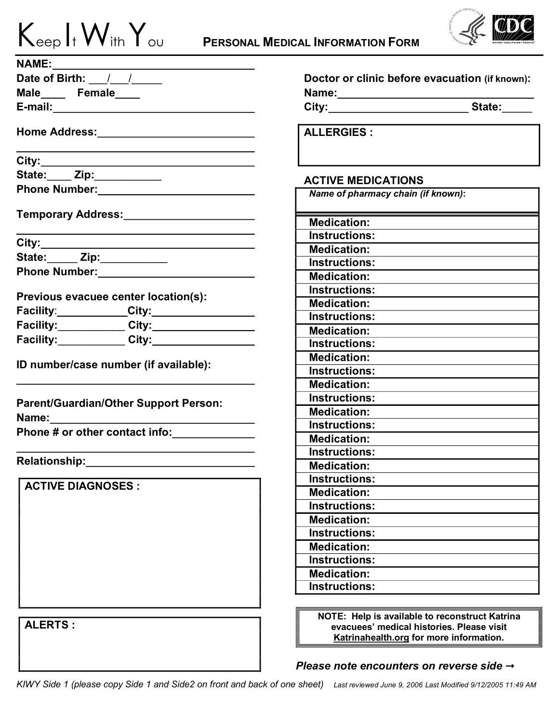| $K_{\text{eep}}$ It $W_{\text{ith}}$ $Y_{\text{ou}}$ |  |  |
|------------------------------------------------------|--|--|



| Date of Birth: $\frac{1}{\sqrt{1-\frac{1}{2}}}$                                                                 | Doctor or clinic before evacuation (if known):                                                                 |  |  |
|-----------------------------------------------------------------------------------------------------------------|----------------------------------------------------------------------------------------------------------------|--|--|
| Male_____ Female____                                                                                            | Name: 2008 2010 2020 2021 2022 2023 2024 2022 2022 2023 2024 2022 2023 2024 2022 2023 2024 2022 2023 2024 2025 |  |  |
|                                                                                                                 |                                                                                                                |  |  |
|                                                                                                                 | <b>ALLERGIES:</b>                                                                                              |  |  |
|                                                                                                                 |                                                                                                                |  |  |
| State: ___ Zip: __________                                                                                      | <b>ACTIVE MEDICATIONS</b>                                                                                      |  |  |
| Phone Number: Management of the Muslim and Muslim and Muslim and Muslim and Muslim and Muslim and Muslim and Mu | Name of pharmacy chain (if known):                                                                             |  |  |
| Temporary Address: _______________________                                                                      |                                                                                                                |  |  |
|                                                                                                                 | <b>Medication:</b>                                                                                             |  |  |
|                                                                                                                 | <b>Instructions:</b>                                                                                           |  |  |
| State: _____ Zip: ___________                                                                                   | <b>Medication:</b>                                                                                             |  |  |
|                                                                                                                 | <b>Instructions:</b>                                                                                           |  |  |
|                                                                                                                 | <b>Medication:</b>                                                                                             |  |  |
| Previous evacuee center location(s):                                                                            | <b>Instructions:</b>                                                                                           |  |  |
|                                                                                                                 | <b>Medication:</b>                                                                                             |  |  |
|                                                                                                                 | <b>Instructions:</b>                                                                                           |  |  |
|                                                                                                                 | <b>Medication:</b>                                                                                             |  |  |
| Facility:____________City:___________________                                                                   | <b>Instructions:</b>                                                                                           |  |  |
| ID number/case number (if available):                                                                           | <b>Medication:</b>                                                                                             |  |  |
|                                                                                                                 | <b>Instructions:</b>                                                                                           |  |  |
|                                                                                                                 | <b>Medication:</b>                                                                                             |  |  |
| Parent/Guardian/Other Support Person:                                                                           | <b>Instructions:</b>                                                                                           |  |  |
|                                                                                                                 | <b>Medication:</b>                                                                                             |  |  |
|                                                                                                                 | <b>Instructions:</b>                                                                                           |  |  |
| Phone # or other contact info:                                                                                  | <b>Medication:</b>                                                                                             |  |  |
|                                                                                                                 | <b>Instructions:</b>                                                                                           |  |  |
| <b>Relationship:</b>                                                                                            | <b>Medication:</b>                                                                                             |  |  |
|                                                                                                                 | <b>Instructions:</b>                                                                                           |  |  |
| <b>ACTIVE DIAGNOSES :</b>                                                                                       | <b>Medication:</b>                                                                                             |  |  |
|                                                                                                                 | <b>Instructions:</b>                                                                                           |  |  |
|                                                                                                                 | <b>Medication:</b>                                                                                             |  |  |
|                                                                                                                 | Instructions:                                                                                                  |  |  |
|                                                                                                                 | <b>Medication:</b>                                                                                             |  |  |
|                                                                                                                 | <b>Instructions:</b>                                                                                           |  |  |
|                                                                                                                 | <b>Medication:</b>                                                                                             |  |  |
|                                                                                                                 | <b>Instructions:</b>                                                                                           |  |  |
|                                                                                                                 |                                                                                                                |  |  |
|                                                                                                                 | NOTE: Help is available to reconstruct Katrina                                                                 |  |  |
| <b>ALERTS:</b>                                                                                                  | evacuees' medical histories. Please visit                                                                      |  |  |
|                                                                                                                 | Katrinahealth.org for more information.                                                                        |  |  |